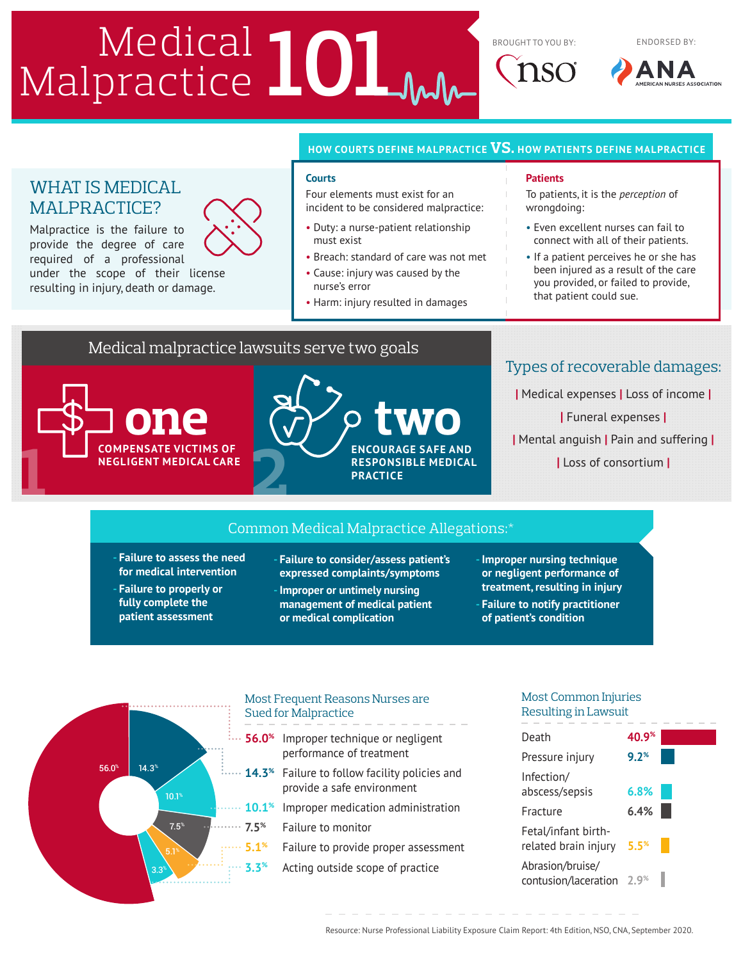# Medical **101 AMPLE (NEW AMPLE TO AMPLE TO YOU BY:**

## **HOW COURTS DEFINE MALPRACTICE VS. HOW PATIENTS DEFINE MALPRACTICE**

#### **Courts**

Four elements must exist for an incident to be considered malpractice:

- Duty: a nurse-patient relationship must exist
- Breach: standard of care was not met
- Cause: injury was caused by the nurse's error
- Harm: injury resulted in damages

### **Patients**

To patients, it is the *perception* of wrongdoing:

ENDORSED BY:

- Even excellent nurses can fail to connect with all of their patients.
- If a patient perceives he or she has been injured as a result of the care you provided, or failed to provide, that patient could sue.

# Medical malpractice lawsuits serve two goals

**COMPENSATE VICTIMS OF NEGLIGENT MEDICAL CARE**

WHAT IS MEDICAL MALPRACTICE?

Malpractice is the failure to provide the degree of care required of a professional

**1**

under the scope of their license resulting in injury, death or damage.



# Types of recoverable damages:

**|** Medical expenses **|** Loss of income **| |** Funeral expenses **| |** Mental anguish **|** Pain and suffering **| |** Loss of consortium **|**

## Common Medical Malpractice Allegations:\*

- **- Failure to assess the need for medical intervention**
- **- Failure to properly or fully complete the patient assessment**

**- Failure to consider/assess patient's expressed complaints/symptoms**

**-Improper or untimely nursing management of medical patient or medical complication**

**-Improper nursing technique or negligent performance of treatment, resulting in injury - Failure to notify practitioner** 

**of patient's condition**



#### Most Frequent Reasons Nurses are Sued for Malpractice Most Frequent Reasons Nurses are Sued for Malpractice

- **56.0%** Improper technique or negligent performance of treatment 14.3% Failure to follow facility policies and provide a safe
- 14.3<sup>%</sup> Failure to follow facility policies and nrovida a safe environment provide a safe environment
- Improper medication administration **10.1<sup>%</sup>** Improper medication administration
- **7.5%** Failure to monitor
	- **5.1%** Failure to provide proper assessment
	- **3.3%** Acting outside scope of practice

## Most Common Injuries Resulting in Lawsuit